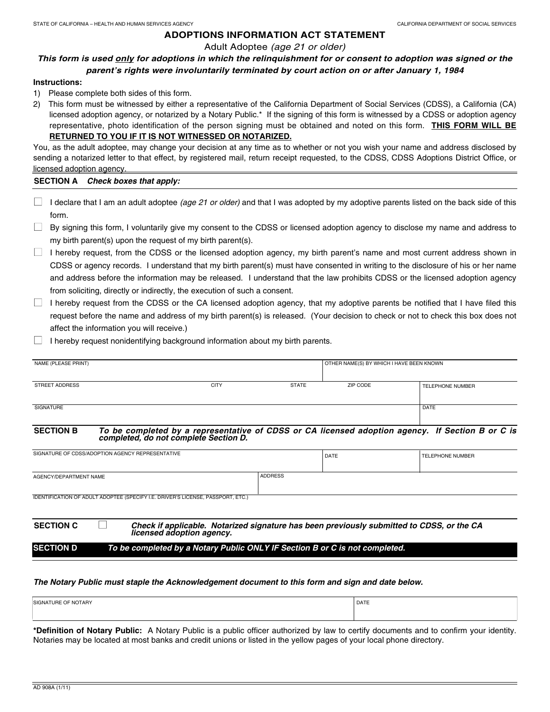# Adult Adoptee (age 21 or older)

# **This form is used only for adoptions in which the relinquishment for or consent to adoption was signed or the parent's rights were involuntarily terminated by court action on or after January 1, 1984**

#### **Instructions:**

- 1) Please complete both sides of this form.
- 2) This form must be witnessed by either a representative of the California Department of Social Services (CDSS), a California (CA) licensed adoption agency, or notarized by a Notary Public.\* If the signing of this form is witnessed by a CDSS or adoption agency representative, photo identification of the person signing must be obtained and noted on this form. **THIS FORM WILL BE RETURNED TO YOU IF IT IS NOT WITNESSED OR NOTARIZED.**

You, as the adult adoptee, may change your decision at any time as to whether or not you wish your name and address disclosed by sending a notarized letter to that effect, by registered mail, return receipt requested, to the CDSS, CDSS Adoptions District Office, or licensed adoption agency.

#### **SECTION A Check boxes that apply:**

- $\Box$  I declare that I am an adult adoptee (age 21 or older) and that I was adopted by my adoptive parents listed on the back side of this form.
- $\Box$  By signing this form, I voluntarily give my consent to the CDSS or licensed adoption agency to disclose my name and address to my birth parent(s) upon the request of my birth parent(s).
- $\Box$  I hereby request, from the CDSS or the licensed adoption agency, my birth parent's name and most current address shown in CDSS or agency records. I understand that my birth parent(s) must have consented in writing to the disclosure of his or her name and address before the information may be released. I understand that the law prohibits CDSS or the licensed adoption agency from soliciting, directly or indirectly, the execution of such a consent.
- $\Box$  I hereby request from the CDSS or the CA licensed adoption agency, that my adoptive parents be notified that I have filed this request before the name and address of my birth parent(s) is released. (Your decision to check or not to check this box does not affect the information you will receive.)
- $\Box$  I hereby request nonidentifying background information about my birth parents.

| NAME (PLEASE PRINT) |             |              | OTHER NAME(S) BY WHICH I HAVE BEEN KNOWN |                         |
|---------------------|-------------|--------------|------------------------------------------|-------------------------|
|                     |             |              |                                          |                         |
| STREET ADDRESS      | <b>CITY</b> | <b>STATE</b> | ZIP CODE                                 | <b>TELEPHONE NUMBER</b> |
|                     |             |              |                                          |                         |
| SIGNATURE           |             |              |                                          | <b>DATE</b>             |
|                     |             |              |                                          |                         |

#### **SECTION B To be completed by a representative of CDSS or CA licensed adoption agency. If Section B or C is completed, do not complete Section D.**

| SIGNATURE OF CDSS/ADOPTION AGENCY REPRESENTATIVE                                                                                           |                | DATE | <b>TELEPHONE NUMBER</b> |  |  |  |
|--------------------------------------------------------------------------------------------------------------------------------------------|----------------|------|-------------------------|--|--|--|
| AGENCY/DEPARTMENT NAME                                                                                                                     | <b>ADDRESS</b> |      |                         |  |  |  |
| IDENTIFICATION OF ADULT ADOPTEE (SPECIFY I.E. DRIVER'S LICENSE, PASSPORT, ETC.)                                                            |                |      |                         |  |  |  |
| <b>SECTION C</b><br>Check if applicable. Notarized signature has been previously submitted to CDSS, or the CA<br>licensed adoption agency. |                |      |                         |  |  |  |

# **SECTION D To be completed by a Notary Public ONLY IF Section B or C is not completed.**

#### **The Notary Public must staple the Acknowledgement document to this form and sign and date below.**

| <b>SIGNATURE OF NOTARY</b> | <b>DATE</b> |
|----------------------------|-------------|
|                            |             |

**\*Definition of Notary Public:** A Notary Public is a public officer authorized by law to certify documents and to confirm your identity. Notaries may be located at most banks and credit unions or listed in the yellow pages of your local phone directory.